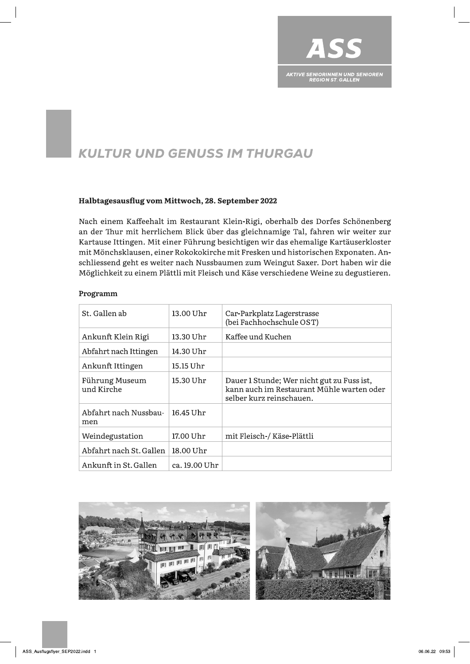

# **KULTUR UND GENUSS IM THURGAU**

## Halbtagesausflug vom Mittwoch, 28. September 2022

Nach einem Kaffeehalt im Restaurant Klein-Rigi, oberhalb des Dorfes Schönenberg an der Thur mit herrlichem Blick über das gleichnamige Tal, fahren wir weiter zur Kartause Ittingen. Mit einer Führung besichtigen wir das ehemalige Kartäuserkloster mit Mönchsklausen, einer Rokokokirche mit Fresken und historischen Exponaten. Anschliessend geht es weiter nach Nussbaumen zum Weingut Saxer. Dort haben wir die Möglichkeit zu einem Plättli mit Fleisch und Käse verschiedene Weine zu degustieren.

### Programm

| St. Gallen ab                | 13.00 Uhr     | Car-Parkplatz Lagerstrasse<br>(bei Fachhochschule OST)                                                              |
|------------------------------|---------------|---------------------------------------------------------------------------------------------------------------------|
| Ankunft Klein Rigi           | 13.30 Uhr     | Kaffee und Kuchen                                                                                                   |
| Abfahrt nach Ittingen        | 14.30 Uhr     |                                                                                                                     |
| Ankunft Ittingen             | 15.15 Uhr     |                                                                                                                     |
| Führung Museum<br>und Kirche | 15.30 Uhr     | Dauer 1 Stunde; Wer nicht gut zu Fuss ist,<br>kann auch im Restaurant Mühle warten oder<br>selber kurz reinschauen. |
| Abfahrt nach Nussbau-<br>men | 16.45 Uhr     |                                                                                                                     |
| Weindegustation              | 17.00 Uhr     | mit Fleisch-/ Käse-Plättli                                                                                          |
| Abfahrt nach St. Gallen      | 18.00 Uhr     |                                                                                                                     |
| Ankunft in St. Gallen        | ca. 19.00 Uhr |                                                                                                                     |